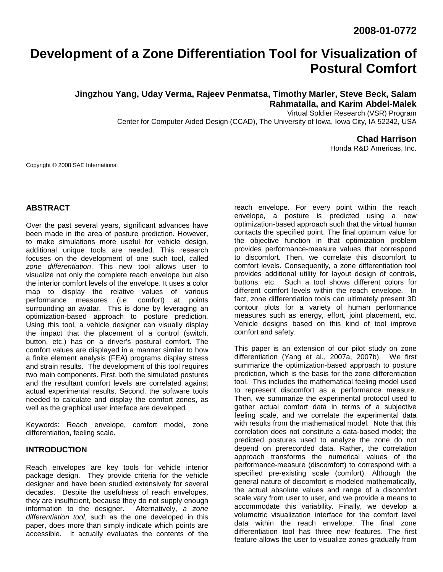# **Development of a Zone Differentiation Tool for Visualization of Postural Comfort**

**Jingzhou Yang, Uday Verma, Rajeev Penmatsa, Timothy Marler, Steve Beck, Salam Rahmatalla, and Karim Abdel-Malek**

Virtual Soldier Research (VSR) Program

Center for Computer Aided Design (CCAD), The University of Iowa, Iowa City, IA 52242, USA

## **Chad Harrison**

Honda R&D Americas, Inc.

Copyright © 2008 SAE International

# **ABSTRACT**

Over the past several years, significant advances have been made in the area of posture prediction. However, to make simulations more useful for vehicle design, additional unique tools are needed. This research focuses on the development of one such tool, called zone differentiation. This new tool allows user to visualize not only the complete reach envelope but also the interior comfort levels of the envelope. It uses a color map to display the relative values of various performance measures (i.e. comfort) at points surrounding an avatar. This is done by leveraging an optimization-based approach to posture prediction. Using this tool, a vehicle designer can visually display the impact that the placement of a control (switch, button, etc.) has on a driver's postural comfort. The comfort values are displayed in a manner similar to how a finite element analysis (FEA) programs display stress and strain results. The development of this tool requires two main components. First, both the simulated postures and the resultant comfort levels are correlated against actual experimental results. Second, the software tools needed to calculate and display the comfort zones, as well as the graphical user interface are developed.

Keywords: Reach envelope, comfort model, zone differentiation, feeling scale.

#### **INTRODUCTION**

Reach envelopes are key tools for vehicle interior package design. They provide criteria for the vehicle designer and have been studied extensively for several decades. Despite the usefulness of reach envelopes, they are insufficient, because they do not supply enough information to the designer. Alternatively, a zone differentiation tool, such as the one developed in this paper, does more than simply indicate which points are accessible. It actually evaluates the contents of the

reach envelope. For every point within the reach envelope, a posture is predicted using a new optimization-based approach such that the virtual human contacts the specified point. The final optimum value for the objective function in that optimization problem provides performance-measure values that correspond to discomfort. Then, we correlate this discomfort to comfort levels. Consequently, a zone differentiation tool provides additional utility for layout design of controls, buttons, etc. Such a tool shows different colors for different comfort levels within the reach envelope. In fact, zone differentiation tools can ultimately present 3D contour plots for a variety of human performance measures such as energy, effort, joint placement, etc. Vehicle designs based on this kind of tool improve comfort and safety.

This paper is an extension of our pilot study on zone differentiation (Yang et al., 2007a, 2007b). We first summarize the optimization-based approach to posture prediction, which is the basis for the zone differentiation tool. This includes the mathematical feeling model used to represent discomfort as a performance measure. Then, we summarize the experimental protocol used to gather actual comfort data in terms of a subjective feeling scale, and we correlate the experimental data with results from the mathematical model. Note that this correlation does not constitute a data-based model; the predicted postures used to analyze the zone do not depend on prerecorded data. Rather, the correlation approach transforms the numerical values of the performance-measure (discomfort) to correspond with a specified pre-existing scale (comfort). Although the general nature of discomfort is modeled mathematically, the actual absolute values and range of a discomfort scale vary from user to user, and we provide a means to accommodate this variability. Finally, we develop a volumetric visualization interface for the comfort level data within the reach envelope. The final zone differentiation tool has three new features. The first feature allows the user to visualize zones gradually from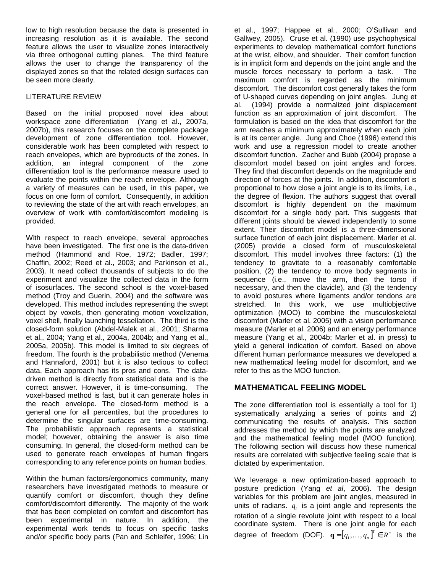low to high resolution because the data is presented in increasing resolution as it is available. The second feature allows the user to visualize zones interactively via three orthogonal cutting planes. The third feature allows the user to change the transparency of the displayed zones so that the related design surfaces can be seen more clearly.

#### LITERATURE REVIEW

Based on the initial proposed novel idea about workspace zone differentiation (Yang et al., 2007a, 2007b), this research focuses on the complete package development of zone differentiation tool. However, considerable work has been completed with respect to reach envelopes, which are byproducts of the zones. In addition, an integral component of the zone differentiation tool is the performance measure used to evaluate the points within the reach envelope. Although a variety of measures can be used, in this paper, we focus on one form of comfort. Consequently, in addition to reviewing the state of the art with reach envelopes, an overview of work with comfort/discomfort modeling is provided.

With respect to reach envelope, several approaches have been investigated. The first one is the data-driven method (Hammond and Roe, 1972; Badler, 1997; Chaffin, 2002; Reed et al., 2003; and Parkinson et al., 2003). It need collect thousands of subjects to do the experiment and visualize the collected data in the form of isosurfaces. The second school is the voxel-based method (Troy and Guerin, 2004) and the software was developed. This method includes representing the swept object by voxels, then generating motion voxelization, voxel shell, finally launching tessellation. The third is the closed-form solution (Abdel-Malek et al., 2001; Sharma et al., 2004; Yang et al., 2004a, 2004b; and Yang et al., 2005a, 2005b). This model is limited to six degrees of freedom. The fourth is the probabilistic method (Venema and Hannaford, 2001) but it is also tedious to collect data. Each approach has its pros and cons. The datadriven method is directly from statistical data and is the correct answer. However, it is time-consuming. The voxel-based method is fast, but it can generate holes in the reach envelope. The closed-form method is a general one for all percentiles, but the procedures to determine the singular surfaces are time-consuming. The probabilistic approach represents a statistical model; however, obtaining the answer is also time consuming. In general, the closed-form method can be used to generate reach envelopes of human fingers corresponding to any reference points on human bodies.

Within the human factors/ergonomics community, many researchers have investigated methods to measure or quantify comfort or discomfort, though they define comfort/discomfort differently. The majority of the work that has been completed on comfort and discomfort has been experimental in nature. In addition, the experimental work tends to focus on specific tasks and/or specific body parts (Pan and Schleifer, 1996; Lin

et al., 1997; Happee et al., 2000; O'Sullivan and Gallwey, 2005). Cruse et al. (1990) use psychophysical experiments to develop mathematical comfort functions at the wrist, elbow, and shoulder. Their comfort function is in implicit form and depends on the joint angle and the muscle forces necessary to perform a task. The maximum comfort is regarded as the minimum discomfort. The discomfort cost generally takes the form of U-shaped curves depending on joint angles. Jung et al. (1994) provide a normalized joint displacement function as an approximation of joint discomfort. The formulation is based on the idea that discomfort for the arm reaches a minimum approximately when each joint is at its center angle. Jung and Choe (1996) extend this work and use a regression model to create another discomfort function. Zacher and Bubb (2004) propose a discomfort model based on joint angles and forces. They find that discomfort depends on the magnitude and direction of forces at the joints. In addition, discomfort is proportional to how close a joint angle is to its limits, i.e., the degree of flexion. The authors suggest that overall discomfort is highly dependent on the maximum discomfort for a single body part. This suggests that different joints should be viewed independently to some extent. Their discomfort model is a three-dimensional surface function of each joint displacement. Marler et al. (2005) provide a closed form of musculoskeletal discomfort. This model involves three factors: (1) the tendency to gravitate to a reasonably comfortable position, (2) the tendency to move body segments in sequence (i.e., move the arm, then the torso if necessary, and then the clavicle), and (3) the tendency to avoid postures where ligaments and/or tendons are stretched. In this work, we use multiobjective optimization (MOO) to combine the musculoskeletal discomfort (Marler et al. 2005) with a vision performance measure (Marler et al. 2006) and an energy performance measure (Yang et al., 2004b; Marler et al. in press) to yield a general indication of comfort. Based on above different human performance measures we developed a new mathematical feeling model for discomfort, and we refer to this as the MOO function.

#### **MATHEMATICAL FEELING MODEL**

The zone differentiation tool is essentially a tool for 1) systematically analyzing a series of points and 2) communicating the results of analysis. This section addresses the method by which the points are analyzed and the mathematical feeling model (MOO function). The following section will discuss how these numerical results are correlated with subjective feeling scale that is dictated by experimentation.

We leverage a new optimization-based approach to posture prediction (Yang et al, 2006). The design variables for this problem are joint angles, measured in units of radians.  $q_i$  is a joint angle and represents the rotation of a single revolute joint with respect to a local coordinate system. There is one joint angle for each degree of freedom (DOF).  $\mathbf{q} = [q_1, \ldots, q_n]^T \in R^n$  is the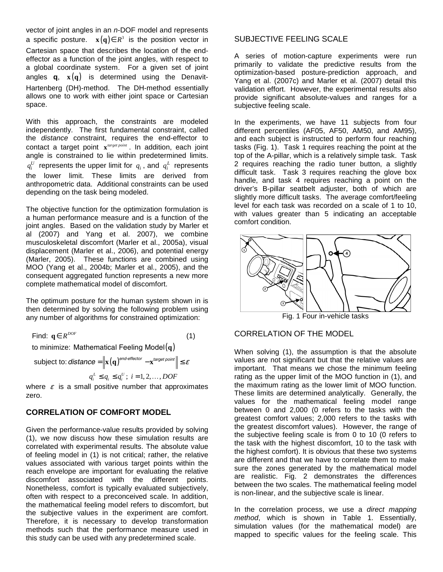vector of joint angles in an n-DOF model and represents a specific posture.  $\mathbf{x}(\mathbf{q}) \in R^3$  is the position vector in Cartesian space that describes the location of the endeffector as a function of the joint angles, with respect to a global coordinate system. For a given set of joint angles  $q$ ,  $x(q)$  is determined using the Denavit-Hartenberg (DH)-method. The DH-method essentially allows one to work with either joint space or Cartesian space.

With this approach, the constraints are modeled independently. The first fundamental constraint, called the distance constraint, requires the end-effector to contact a target point  $\mathbf{x}^{target point}$ . In addition, each joint angle is constrained to lie within predetermined limits.  $q_i^U$  represents the upper limit for  $q_i$ , and  $q_i^L$  represents the lower limit. These limits are derived from anthropometric data. Additional constraints can be used depending on the task being modeled.

The objective function for the optimization formulation is a human performance measure and is a function of the joint angles. Based on the validation study by Marler et al (2007) and Yang et al. 2007), we combine musculoskeletal discomfort (Marler et al., 2005a), visual displacement (Marler et al., 2006), and potential energy (Marler, 2005). These functions are combined using MOO (Yang et al., 2004b; Marler et al., 2005), and the consequent aggregated function represents a new more complete mathematical model of discomfort.

The optimum posture for the human system shown in is then determined by solving the following problem using any number of algorithms for constrained optimization:

Find:  $\mathbf{q} \in R^{DOF}$  (1)

to minimize: Mathematical Feeling Model(**q**)

subject to: 
$$
distance = \left\| \mathbf{x}(\mathbf{q})^{\text{end-effector}} - \mathbf{x}^{\text{target point}} \right\| \leq \varepsilon
$$

$$
q_i^L \leq q_i \leq q_i^U; \ i = 1, 2, ..., DOF
$$

where  $\varepsilon$  is a small positive number that approximates zero.

## **CORRELATION OF COMFORT MODEL**

Given the performance-value results provided by solving (1), we now discuss how these simulation results are correlated with experimental results. The absolute value of feeling model in (1) is not critical; rather, the relative values associated with various target points within the reach envelope are important for evaluating the relative discomfort associated with the different points. Nonetheless, comfort is typically evaluated subjectively, often with respect to a preconceived scale. In addition, the mathematical feeling model refers to discomfort, but the subjective values in the experiment are comfort. Therefore, it is necessary to develop transformation methods such that the performance measure used in this study can be used with any predetermined scale.

#### SUBJECTIVE FEELING SCALE

A series of motion-capture experiments were run primarily to validate the predictive results from the optimization-based posture-prediction approach, and Yang et al. (2007c) and Marler et al. (2007) detail this validation effort. However, the experimental results also provide significant absolute-values and ranges for a subjective feeling scale.

In the experiments, we have 11 subjects from four different percentiles (AF05, AF50, AM50, and AM95), and each subject is instructed to perform four reaching tasks (Fig. 1). Task 1 requires reaching the point at the top of the A-pillar, which is a relatively simple task. Task 2 requires reaching the radio tuner button, a slightly difficult task. Task 3 requires reaching the glove box handle, and task 4 requires reaching a point on the driver's B-pillar seatbelt adjuster, both of which are slightly more difficult tasks. The average comfort/feeling level for each task was recorded on a scale of 1 to 10, with values greater than 5 indicating an acceptable comfort condition.



Fig. 1 Four in-vehicle tasks

#### CORRELATION OF THE MODEL

When solving (1), the assumption is that the absolute values are not significant but that the relative values are important. That means we chose the minimum feeling rating as the upper limit of the MOO function in (1), and the maximum rating as the lower limit of MOO function. These limits are determined analytically. Generally, the values for the mathematical feeling model range between 0 and 2,000 (0 refers to the tasks with the greatest comfort values; 2,000 refers to the tasks with the greatest discomfort values). However, the range of the subjective feeling scale is from 0 to 10 (0 refers to the task with the highest discomfort, 10 to the task with the highest comfort). It is obvious that these two systems are different and that we have to correlate them to make sure the zones generated by the mathematical model are realistic. Fig. 2 demonstrates the differences between the two scales. The mathematical feeling model is non-linear, and the subjective scale is linear.

In the correlation process, we use a direct mapping method, which is shown in Table 1. Essentially, simulation values (for the mathematical model) are mapped to specific values for the feeling scale. This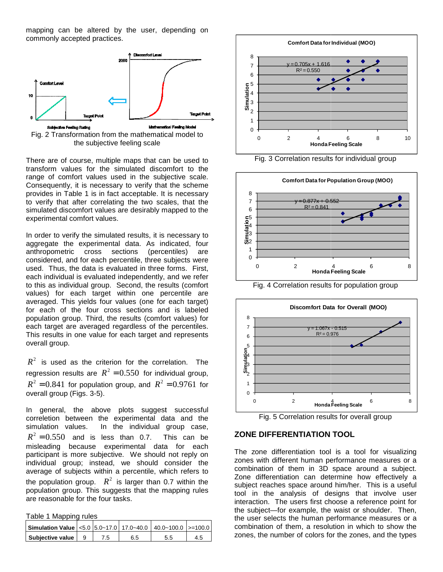mapping can be altered by the user, depending on commonly accepted practices.



the subjective feeling scale

There are of course, multiple maps that can be used to transform values for the simulated discomfort to the range of comfort values used in the subjective scale. There are of course, multiple maps that can be used to transform values for the simulated discomfort to the range of comfort values used in the subjective scale. Consequently, it is necessary to verify that the scheme provides in Table 1 is in fact acceptable. It is necessary to verify that after correlating the two scales, that the simulated discomfort values are desirably mapped to the experimental comfort values.

In order to verify the simulated results, it is necessary to aggregate the experimental data. As indicated, four anthropometric cross sections (percentiles) are considered, and for each percentile, three subjects were used. Thus, the data is evaluated in three forms. First, each individual is evaluated independently, and we refer to this as individual group. Second, the results (comfort values) for each target within one percentile are averaged. This yields four values (one for each target) for each of the four cross sections and is labeled population group. Third, the results (comfort values) each target are averaged regardless of the percentiles. This results in one value for each target and represents overall group. provides in Table 1 is in fact acceptable. It is necessary<br>to verify that after correlating the two scales, that the<br>simulated discomfort values are desirably mapped to the<br>experimental comfort values.<br>In order to verify t

 $R^2$  is used as the criterion for the correlation. The regression results are  $R^2 = 0.550$  for individual group,  $R^2 = 0.841$  for population group, and  $R^2 = 0.9761$  for overall group (Figs. 3-5).

In general, the above plots suggest successful correletion between the experimental data and the In general, the above plots suggest successful<br>correletion between the experimental data and the<br>simulation values. In the individual group case,  $R^2 = 0.550$  and is less than 0.7. This can be misleading because experimental data for each participant is more subjective. We should not reply on individual group; instead, we should consider the average of subjects within a percentile, which refers to the population group.  $R^2$  is larger than 0.7 within the the population group.  $R^2$  is larger than 0.7 within the population group. This suggests that the mapping rules are reasonable for the four tasks. misleading because experimental data for each<br>participant is more subjective. We should not reply on<br>individual group; instead, we should consider the<br>average of subjects within a percentile, which refers to

Table 1 Mapping rules

| Simulation Value $ $ <5.0 $ $ 5.0~17.0   17.0~40.0   40.0~100.0   >=100.0 |  |     |     |
|---------------------------------------------------------------------------|--|-----|-----|
| Subjective value                                                          |  | 5.5 | 4.5 |



Fig. 3 Correlation results for individual group



Fig. 4 Correlation results for population group



Fig. 5 Correlation results for overall group

#### **ZONE DIFFERENTIATION TOOL**

The zone differentiation tool is a tool for visualizing zones with different human performance measures or a combination of them in 3D space around a Zone differentiation can determine how effectively a Zone differentiation can determine how effectively a<br>subject reaches space around him/her. This is a useful tool in the analysis of designs that involve user interaction. The users first choose a reference point for the subject-for example, the waist or shoulder. Then, the user selects the human performance measures or a combination of them, a resolution in which to show the zones, the number of colors for the zones, and the types The zone differentiation tool is a tool for visualizing<br>zones with different human performance measures or a<br>combination of them in 3D space around a subject. the analysis of designs that involve user<br>n. The users first choose a reference point for<br>ct—for example, the waist or shoulder. Then,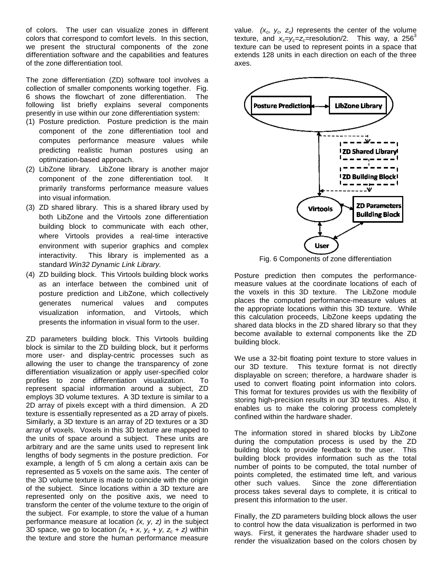of colors. The user can visualize zones in different colors that correspond to comfort levels. In this section, we present the structural components of the zone differentiation software and the capabilities and features of the zone differentiation tool. of colors. The user can visualize zones in different colors that correspond to comfort levels. In this section, we present the structural components of the zone differentiation software and the capabilities and features of

The zone differentiation (ZD) software tool involves a collection of smaller components working together. Fig. 6 shows the flowchart of zone differentiation. The following list briefly explains several components presently in use within our zone differentiation system: following list briefly explains several components<br>presently in use within our zone differentiation system:<br>(1) Posture prediction. Posture prediction is the main

- component of the zone differentiation tool and computes performance measure values while predicting realistic human postures using an optimization-based approach. performance measure values while<br>realistic human postures using an<br>-based\_approach.<br>ary. LibZone library is another major<br>of the zone differentiation tool. It
- (2) LibZone library. LibZone library is another major component of the zone differentiation tool primarily transforms performance measure values into visual information.
- (3) ZD shared library. This is a shared library used by both LibZone and the Virtools zone differentiation building block to communicate with each other, where Virtools provides a real-time interactive environment with superior graphics and complex interactivity. This library is implemented as a standard Win32 Dynamic Link Library. primarily transforms performance measure values<br>into visual information.<br>ZD shared library. This is a shared library used by<br>both LibZone and the Virtools zone differentiation<br>building block to communicate with each other,
- (4) ZD building block. This Virtools building block works as an interface between the combined unit of posture prediction and LibZone, which collectively generates numerical values and computes visualization information, and Virtools, which generates numerical values and computes<br>visualization information, and Virtools, which<br>presents the information in visual form to the user.

ZD parameters building block. This Virtools building block is similar to the ZD building block, but it performs more user- and display-centric processes such as allowing the user to change the transparency of zone differentiation visualization or apply user-specified color profiles to zone differentiation visualization represent spacial information around a subject, ZD employs 3D volume textures. A 3D texture is similar to a employs 3D volume textures. A 3D texture is similar to a<br>2D array of pixels except with a third dimension. A 2D texture is essentially represented as a 2D array of pixels. Similarly, a 3D texture is an array of 2D textures or a 3D array of voxels. Voxels in this 3D texture are mapped to the units of space around a subject. These units are arbitrary and are the same units used to represent link lengths of body segments in the posture prediction. For example, a length of 5 cm along a certain axis can be example, a length of 5 cm along a certain axis can be<br>represented as 5 voxels on the same axis. The center of the 3D volume texture is made to coincide with the origin of the subject. Since locations within a 3D texture are represented only on the positive axis, we need to transform the center of the volume texture to the origin of the subject. For example, to store the value of a human performance measure at location  $(x, y, z)$  in the subject 3D space, we go to location  $(x_c + x, y_c + y, z_c + z)$  within the texture and store the human performance measure D parameters building block. This Virtools building<br>lock is similar to the ZD building block, but it performs<br>nore user- and display-centric processes such as<br>llowing the user to change the transparency of zone<br>ifferentiat D texture is an array of 2D textures or a 3D<br>Is. Voxels in this 3D texture are mapped to<br>space around a subject. These units are<br>are the same units used to represent link<br>dy segments in the posture prediction. For exture is made to coincide with the origin<br>Since locations within a 3D texture are<br>y on the positive axis, we need to<br>ther of the volume texture to the origin of<br>example, to store the value of a human

value.  $(x_c, y_c, z_c)$  represents the center of the volume texture, and  $x_c=y_c=z_c=r$  esolution/2. This way, a 256<sup>3</sup> texture can be used to represent points in a space that extends 128 units in each direction on each of the three axes.



Fig. 6 Components of zone differentiation

Posture prediction then computes the performance measure values at the coordinate locations of each of the voxels in this 3D texture. The LibZone module places the computed performance-measure values at the appropriate locations within this 3D texture. While this calculation proceeds, LibZone keeps updating the shared data blocks in the ZD shared library so that they become available to external components like the ZD building block.

We use a 32-bit floating point texture to store values in our 3D texture. This texture format is not directly displayable on screen; therefore, a hardware shader is used to convert floating point information into colors This format for textures provides us with the flexibility of This format for textures provides us with the flexibility of<br>storing high-precision results in our 3D textures. Also, it enables us to make the coloring process completely confined within the hardware shader. confined within the hardware shader. this calculation proceeds, LibZone keeps updating the<br>shared data blocks in the ZD shared library so that they<br>become available to external components like the ZD<br>building block.<br>We use a 32-bit floating point texture to s

The information stored in shared blocks by LibZone during the computation process is used by the ZD building block to provide feedback to the user. This building block provides information such as the total number of points to be computed, the total number of points completed, the estimated time left, and various other such values. Since the zone differentiation process takes several days to complete, it is critical to present this information to the user. stored in shared blocks by LibZone<br>putation process is used by the ZD<br>o provide feedback to the user. This building block provides information such as the total number of points completed, the estimated time left, and various other such values. Since the zone differentiation process takes several days to complete, it is critica

Finally, the ZD parameters building block allows the user to control how the data visualization is performed in ways. First, it generates the hardware shader used to render the visualization based on the colors chosen by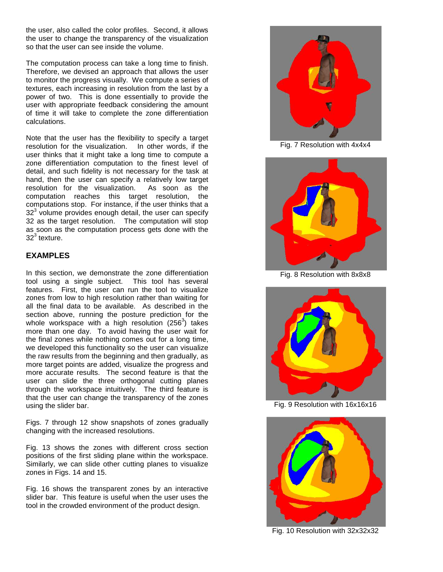the user, also called the color profiles. Second, it allows the user to change the transparency of the visualization so that the user can see inside the volume.

The computation process can take a long time to finish. Therefore, we devised an approach that allows the user to monitor the progress visually. We compute a series of textures, each increasing in resolution from the last by a power of two. This is done essentially to provide the user with appropriate feedback considering the amount of time it will take to complete the zone differentiation calculations.

Note that the user has the flexibility to specify a target resolution for the visualization. In other words, if the user thinks that it might take a long time to compute a zone differentiation computation to the finest level of detail, and such fidelity is not necessary for the task at hand, then the user can specify a relatively low target resolution for the visualization. As soon as the computation reaches this target resolution, the computations stop. For instance, if the user thinks that a  $32<sup>3</sup>$  volume provides enough detail, the user can specify 32 as the target resolution. The computation will stop as soon as the computation process gets done with the  $32^3$  texture.

# **EXAMPLES**

In this section, we demonstrate the zone differentiation tool using a single subject. This tool has several features. First, the user can run the tool to visualize zones from low to high resolution rather than waiting for all the final data to be available. As described in the section above, running the posture prediction for the whole workspace with a high resolution (256 $3$ ) takes more than one day. To avoid having the user wait for the final zones while nothing comes out for a long time, we developed this functionality so the user can visualize the raw results from the beginning and then gradually, as more target points are added, visualize the progress and more accurate results. The second feature is that the user can slide the three orthogonal cutting planes through the workspace intuitively. The third feature is that the user can change the transparency of the zones using the slider bar.

Figs. 7 through 12 show snapshots of zones gradually changing with the increased resolutions.

Fig. 13 shows the zones with different cross section positions of the first sliding plane within the workspace. Similarly, we can slide other cutting planes to visualize zones in Figs. 14 and 15.

Fig. 16 shows the transparent zones by an interactive slider bar. This feature is useful when the user uses the tool in the crowded environment of the product design.



Fig. 7 Resolution with 4x4x4



Fig. 8 Resolution with 8x8x8



Fig. 9 Resolution with 16x16x16



Fig. 10 Resolution with 32x32x32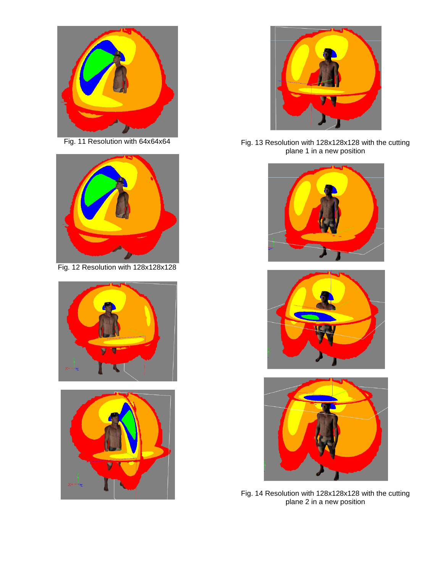

Fig. 11 Resolution with 64x64x64



Fig. 12 Resolution with 128x128x128







Fig. 13 Resolution with 128x128x128 with the cutting plane 1 in a new position







Fig. 14 Resolution with 128x128x128 with the cutting plane 2 in a new position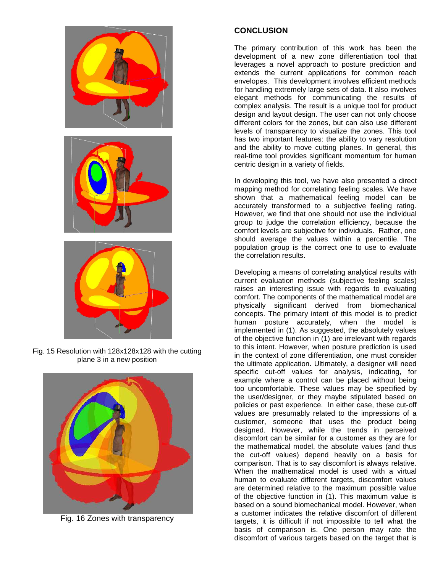

Fig. 15 Resolution with 128x128x128 with the cutting plane 3 in a new position



Fig. 16 Zones with transparency

# **CONCLUSION**

The primary contribution of this work has been the development of a new zone differentiation tool that leverages a novel approach to posture prediction and extends the current applications for common reach envelopes. This development involves efficient methods for handling extremely large sets of data. It also involves elegant methods for communicating the results of complex analysis. The result is a unique tool for product design and layout design. The user can not only choose different colors for the zones, but can also use different levels of transparency to visualize the zones. This tool has two important features: the ability to vary resolution and the ability to move cutting planes. In general, this real-time tool provides significant momentum for human centric design in a variety of fields.

In developing this tool, we have also presented a direct mapping method for correlating feeling scales. We have shown that a mathematical feeling model can be accurately transformed to a subjective feeling rating. However, we find that one should not use the individual group to judge the correlation efficiency, because the comfort levels are subjective for individuals. Rather, one should average the values within a percentile. The population group is the correct one to use to evaluate the correlation results.

Developing a means of correlating analytical results with current evaluation methods (subjective feeling scales) raises an interesting issue with regards to evaluating comfort. The components of the mathematical model are physically significant derived from biomechanical concepts. The primary intent of this model is to predict human posture accurately, when the model is implemented in (1). As suggested, the absolutely values of the objective function in (1) are irrelevant with regards to this intent. However, when posture prediction is used in the context of zone differentiation, one must consider the ultimate application. Ultimately, a designer will need specific cut-off values for analysis, indicating, for example where a control can be placed without being too uncomfortable. These values may be specified by the user/designer, or they maybe stipulated based on policies or past experience. In either case, these cut-off values are presumably related to the impressions of a customer, someone that uses the product being designed. However, while the trends in perceived discomfort can be similar for a customer as they are for the mathematical model, the absolute values (and thus the cut-off values) depend heavily on a basis for comparison. That is to say discomfort is always relative. When the mathematical model is used with a virtual human to evaluate different targets, discomfort values are determined relative to the maximum possible value of the objective function in (1). This maximum value is based on a sound biomechanical model. However, when a customer indicates the relative discomfort of different targets, it is difficult if not impossible to tell what the basis of comparison is. One person may rate the discomfort of various targets based on the target that is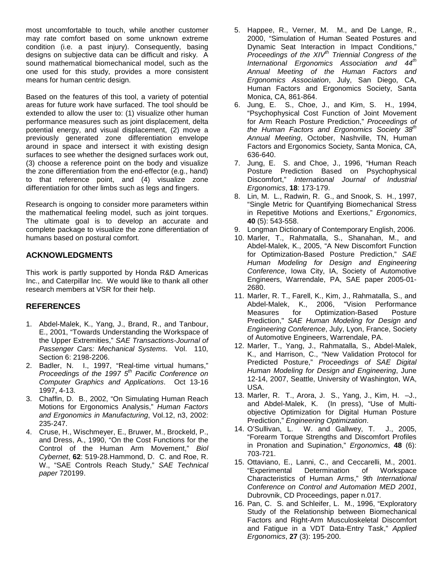most uncomfortable to touch, while another customer may rate comfort based on some unknown extreme condition (i.e. a past injury). Consequently, basing designs on subjective data can be difficult and risky. A sound mathematical biomechanical model, such as the one used for this study, provides a more consistent means for human centric design.

Based on the features of this tool, a variety of potential areas for future work have surfaced. The tool should be extended to allow the user to: (1) visualize other human performance measures such as joint displacement, delta potential energy, and visual displacement, (2) move a previously generated zone differentiation envelope around in space and intersect it with existing design surfaces to see whether the designed surfaces work out, (3) choose a reference point on the body and visualize the zone differentiation from the end-effector (e.g., hand) to that reference point, and (4) visualize zone differentiation for other limbs such as legs and fingers.

Research is ongoing to consider more parameters within the mathematical feeling model, such as joint torques. The ultimate goal is to develop an accurate and complete package to visualize the zone differentiation of humans based on postural comfort.

# **ACKNOWLEDGMENTS**

This work is partly supported by Honda R&D Americas Inc., and Caterpillar Inc. We would like to thank all other research members at VSR for their help.

# **REFERENCES**

- 1. Abdel-Malek, K., Yang, J., Brand, R., and Tanbour, E., 2001, "Towards Understanding the Workspace of the Upper Extremities," SAE Transactions-Journal of Passenger Cars: Mechanical Systems. Vol. 110, Section 6: 2198-2206.
- 2. Badler, N. I., 1997, "Real-time virtual humans," Proceedings of the 1997  $5<sup>th</sup>$  Pacific Conference on Computer Graphics and Applications. Oct 13-16 1997, 4-13.
- 3. Chaffin, D. B., 2002, "On Simulating Human Reach Motions for Ergonomics Analysis," Human Factors and Ergonomics in Manufacturing, Vol.12, n3, 2002: 235-247.
- 4. Cruse, H., Wischmeyer, E., Bruwer, M., Brockeld, P., and Dress, A., 1990, "On the Cost Functions for the Control of the Human Arm Movement," Biol Cybernet, **62**: 519-28.Hammond, D. C. and Roe, R. W., "SAE Controls Reach Study," SAE Technical paper 720199.
- 5. Happee, R., Verner, M. M., and De Lange, R., 2000, "Simulation of Human Seated Postures and Dynamic Seat Interaction in Impact Conditions," Proceedings of the  $XIV^{th}$  Triennial Congress of the International Ergonomics Association and  $44<sup>th</sup>$ Annual Meeting of the Human Factors and Ergonomics Association, July, San Diego, CA, Human Factors and Ergonomics Society, Santa Monica, CA, 861-864.
- 6. Jung, E. S., Choe, J., and Kim, S. H., 1994, "Psychophysical Cost Function of Joint Movement for Arm Reach Posture Prediction," Proceedings of the Human Factors and Ergonomics Society  $38<sup>th</sup>$ Annual Meeting, October, Nashville, TN, Human Factors and Ergonomics Society, Santa Monica, CA, 636-640.
- 7. Jung, E. S. and Choe, J., 1996, "Human Reach Posture Prediction Based on Psychophysical Discomfort," International Journal of Industrial Ergonomics, **18**: 173-179.
- 8. Lin, M. L., Radwin, R. G., and Snook, S. H., 1997, "Single Metric for Quantifying Biomechanical Stress in Repetitive Motions and Exertions," Ergonomics, **40** (5): 543-558.
- 9. Longman Dictionary of Contemporary English, 2006.
- 10. Marler, T., Rahmatalla, S., Shanahan, M., and Abdel-Malek, K., 2005, "A New Discomfort Function for Optimization-Based Posture Prediction," SAE Human Modeling for Design and Engineering Conference, Iowa City, IA, Society of Automotive Engineers, Warrendale, PA, SAE paper 2005-01- 2680.
- 11. Marler, R. T., Farell, K., Kim, J., Rahmatalla, S., and Abdel-Malek, K., 2006, "Vision Performance Measures for Optimization-Based Posture Prediction," SAE Human Modeling for Design and Engineering Conference, July, Lyon, France, Society of Automotive Engineers, Warrendale, PA.
- 12. Marler, T., Yang, J., Rahmatalla, S., Abdel-Malek, K., and Harrison, C., "New Validation Protocol for Predicted Posture," Proceedings of SAE Digital Human Modeling for Design and Engineering, June 12-14, 2007, Seattle, University of Washington, WA, USA.
- 13. Marler, R. T., Arora, J. S., Yang, J., Kim, H. –J., and Abdel-Malek, K. (In press), "Use of Multiobjective Optimization for Digital Human Posture Prediction," Engineering Optimization.
- 14. O'Sullivan, L. W. and Gallwey, T. J., 2005, "Forearm Torque Strengths and Discomfort Profiles in Pronation and Supination," Ergonomics, **48** (6): 703-721.
- 15. Ottaviano, E., Lanni, C., and Ceccarelli, M., 2001. "Experimental Determination of Workspace Characteristics of Human Arms," 9th International Conference on Control and Automation MED 2001, Dubrovnik, CD Proceedings, paper n.017.
- 16. Pan, C. S. and Schleifer, L. M., 1996, "Exploratory Study of the Relationship between Biomechanical Factors and Right-Arm Musculoskeletal Discomfort and Fatigue in a VDT Data-Entry Task," Applied Ergonomics, **27** (3): 195-200.